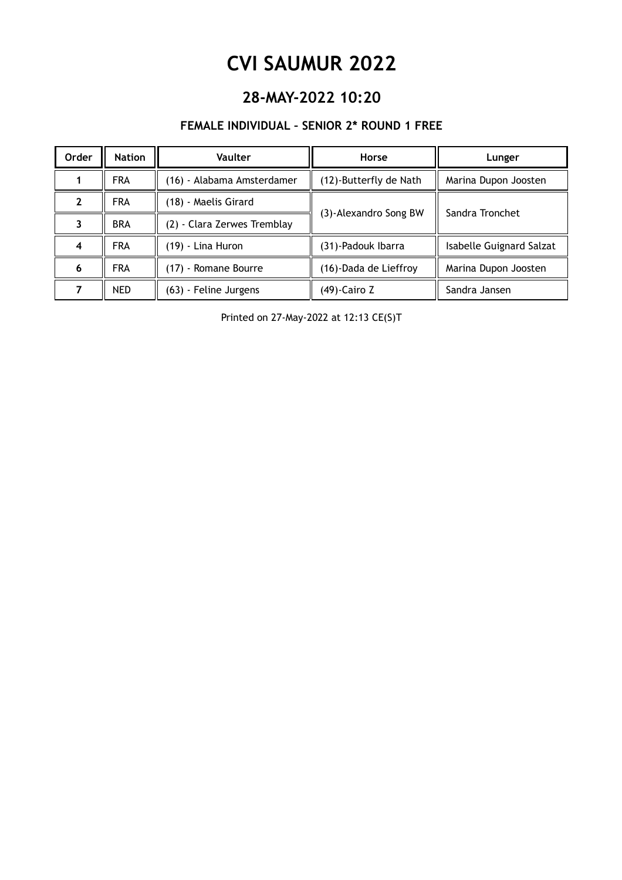### **28-MAY-2022 10:20**

#### **FEMALE INDIVIDUAL – SENIOR 2\* ROUND 1 FREE**

| Order               | <b>Nation</b> | <b>Vaulter</b>              | Horse                  | Lunger                   |
|---------------------|---------------|-----------------------------|------------------------|--------------------------|
|                     | <b>FRA</b>    | (16) - Alabama Amsterdamer  | (12)-Butterfly de Nath | Marina Dupon Joosten     |
| 2                   | <b>FRA</b>    | (18) - Maelis Girard        |                        | Sandra Tronchet          |
|                     | <b>BRA</b>    | (2) - Clara Zerwes Tremblay | (3)-Alexandro Song BW  |                          |
| $\overline{\bf{4}}$ | <b>FRA</b>    | (19) - Lina Huron           | (31)-Padouk Ibarra     | Isabelle Guignard Salzat |
| 6                   | <b>FRA</b>    | (17) - Romane Bourre        | (16)-Dada de Lieffroy  | Marina Dupon Joosten     |
| 7                   | <b>NED</b>    | (63) - Feline Jurgens       | $(49)$ -Cairo Z        | Sandra Jansen            |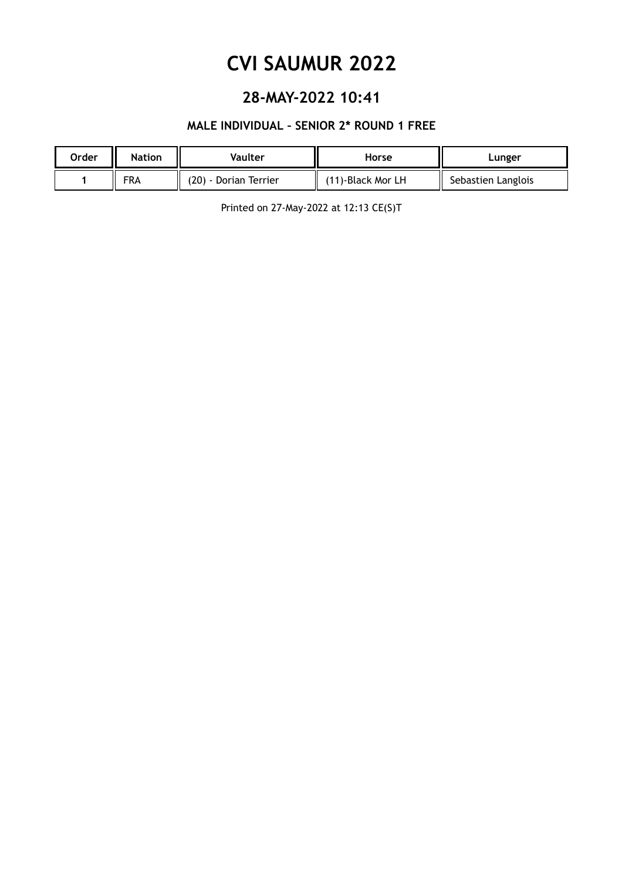### **28-MAY-2022 10:41**

#### **MALE INDIVIDUAL – SENIOR 2\* ROUND 1 FREE**

| Order | <b>Nation</b> | Vaulter               | Horse             | Lunger             |
|-------|---------------|-----------------------|-------------------|--------------------|
|       | <b>FRA</b>    | (20) - Dorian Terrier | (11)-Black Mor LH | Sebastien Langlois |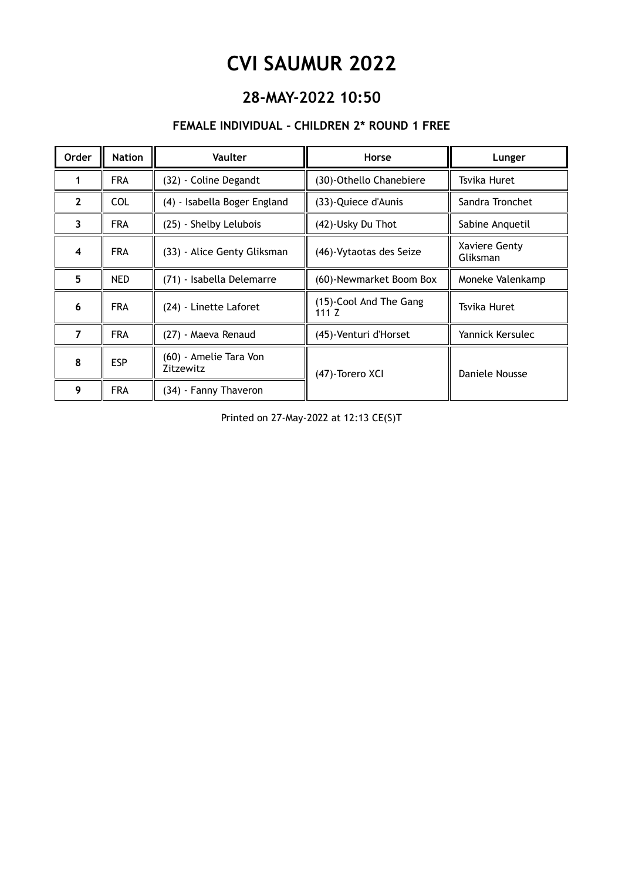### **28-MAY-2022 10:50**

#### **FEMALE INDIVIDUAL – CHILDREN 2\* ROUND 1 FREE**

| <b>Order</b>   | <b>Nation</b> | Vaulter                             | Horse                             | Lunger                    |
|----------------|---------------|-------------------------------------|-----------------------------------|---------------------------|
|                | <b>FRA</b>    | (32) - Coline Degandt               | (30)-Othello Chanebiere           | Tsvika Huret              |
| $\overline{2}$ | <b>COL</b>    | (4) - Isabella Boger England        | (33)-Quiece d'Aunis               | Sandra Tronchet           |
| 3              | <b>FRA</b>    | (25) - Shelby Lelubois              | (42)-Usky Du Thot                 | Sabine Anquetil           |
| 4              | <b>FRA</b>    | (33) - Alice Genty Gliksman         | (46)-Vytaotas des Seize           | Xaviere Genty<br>Gliksman |
| 5              | <b>NED</b>    | (71) - Isabella Delemarre           | (60)-Newmarket Boom Box           | Moneke Valenkamp          |
| 6              | <b>FRA</b>    | (24) - Linette Laforet              | (15)-Cool And The Gang<br>111 $Z$ | Tsvika Huret              |
| $\overline{7}$ | <b>FRA</b>    | (27) - Maeva Renaud                 | (45)-Venturi d'Horset             | Yannick Kersulec          |
| 8              | <b>ESP</b>    | (60) - Amelie Tara Von<br>Zitzewitz | (47)-Torero XCI                   | Daniele Nousse            |
| 9              | <b>FRA</b>    | (34) - Fanny Thaveron               |                                   |                           |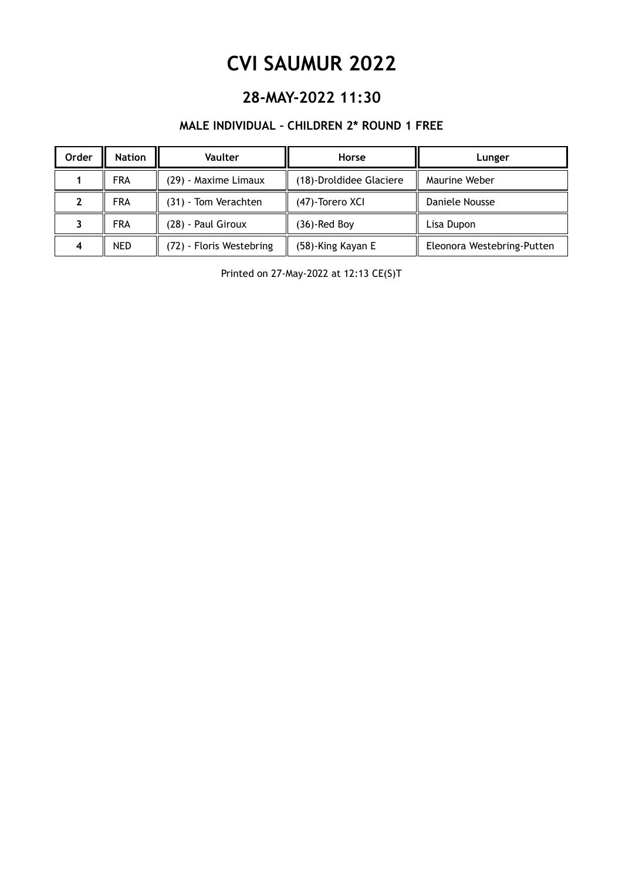### **28-MAY-2022 11:30**

#### **MALE INDIVIDUAL – CHILDREN 2\* ROUND 1 FREE**

| Order | <b>Nation</b> | <b>Vaulter</b>           | Horse                   | Lunger                     |
|-------|---------------|--------------------------|-------------------------|----------------------------|
|       | <b>FRA</b>    | (29) - Maxime Limaux     | (18)-Droldidee Glaciere | Maurine Weber              |
|       | <b>FRA</b>    | (31) - Tom Verachten     | (47)-Torero XCI         | Daniele Nousse             |
|       | <b>FRA</b>    | (28) - Paul Giroux       | (36)-Red Boy            | Lisa Dupon                 |
| 4     | <b>NED</b>    | (72) - Floris Westebring | (58)-King Kayan E       | Eleonora Westebring-Putten |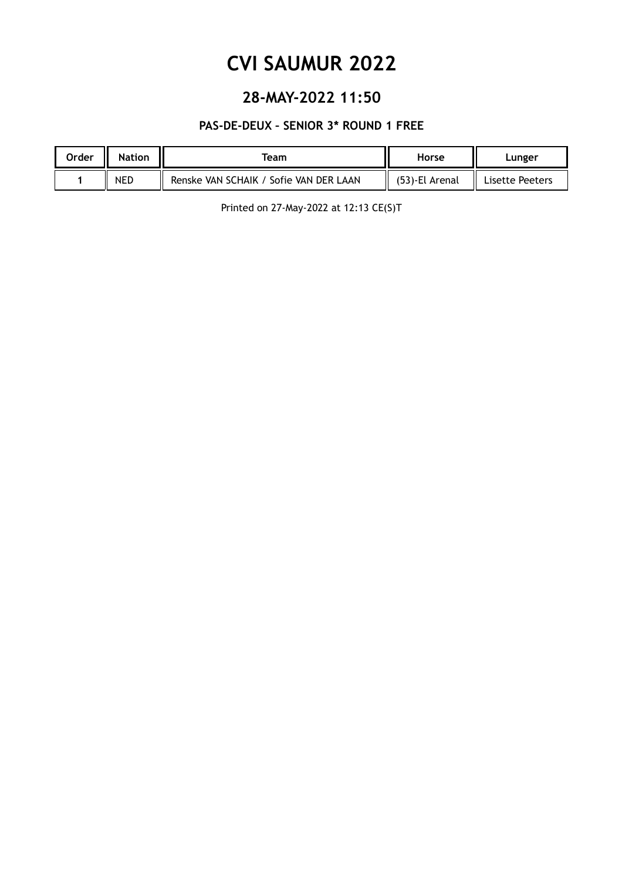### **28-MAY-2022 11:50**

#### **PAS-DE-DEUX – SENIOR 3\* ROUND 1 FREE**

| Order<br>Ш | <b>Nation</b> | Team                                   | Horse          | Lunger                          |
|------------|---------------|----------------------------------------|----------------|---------------------------------|
|            | <b>NED</b>    | Renske VAN SCHAIK / Sofie VAN DER LAAN | (53)-El Arenal | $\mathbf{I}$<br>Lisette Peeters |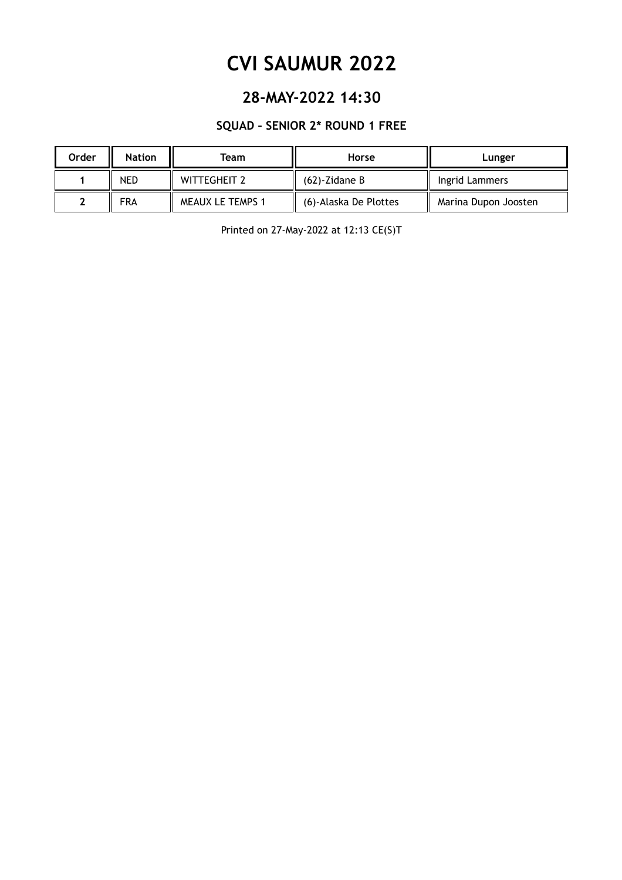### **28-MAY-2022 14:30**

#### **SQUAD – SENIOR 2\* ROUND 1 FREE**

| Order | <b>Nation</b> | Team                    | Horse                 | Lunger               |
|-------|---------------|-------------------------|-----------------------|----------------------|
|       | <b>NED</b>    | <b>WITTEGHEIT 2</b>     | $(62)$ -Zidane B      | Ingrid Lammers       |
|       | FRA           | <b>MEAUX LE TEMPS 1</b> | (6)-Alaska De Plottes | Marina Dupon Joosten |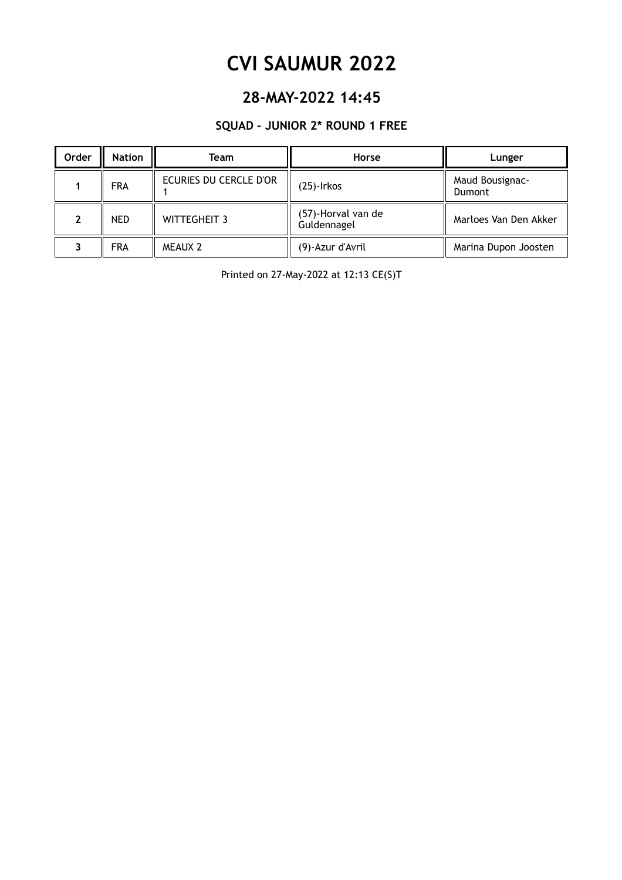### **28-MAY-2022 14:45**

#### **SQUAD – JUNIOR 2\* ROUND 1 FREE**

| Order | <b>Nation</b> | Team                   | Horse                             | Lunger                    |
|-------|---------------|------------------------|-----------------------------------|---------------------------|
|       | <b>FRA</b>    | ECURIES DU CERCLE D'OR | $(25)$ -Irkos                     | Maud Bousignac-<br>Dumont |
|       | <b>NED</b>    | <b>WITTEGHEIT 3</b>    | (57)-Horval van de<br>Guldennagel | Marloes Van Den Akker     |
|       | <b>FRA</b>    | <b>MEAUX 2</b>         | (9)-Azur d'Avril                  | Marina Dupon Joosten      |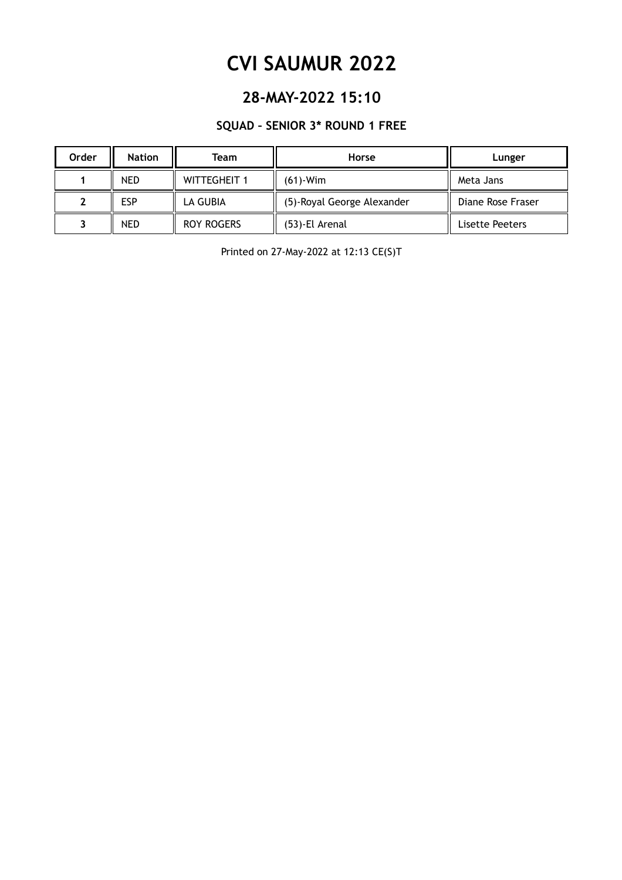### **28-MAY-2022 15:10**

#### **SQUAD – SENIOR 3\* ROUND 1 FREE**

| <b>Order</b> | <b>Nation</b> | Team                | Horse                      | Lunger            |
|--------------|---------------|---------------------|----------------------------|-------------------|
|              | <b>NED</b>    | <b>WITTEGHEIT 1</b> | $(61)$ -Wim                | Meta Jans         |
|              | ESP           | LA GUBIA            | (5)-Royal George Alexander | Diane Rose Fraser |
|              | NED           | <b>ROY ROGERS</b>   | (53)-El Arenal             | Lisette Peeters   |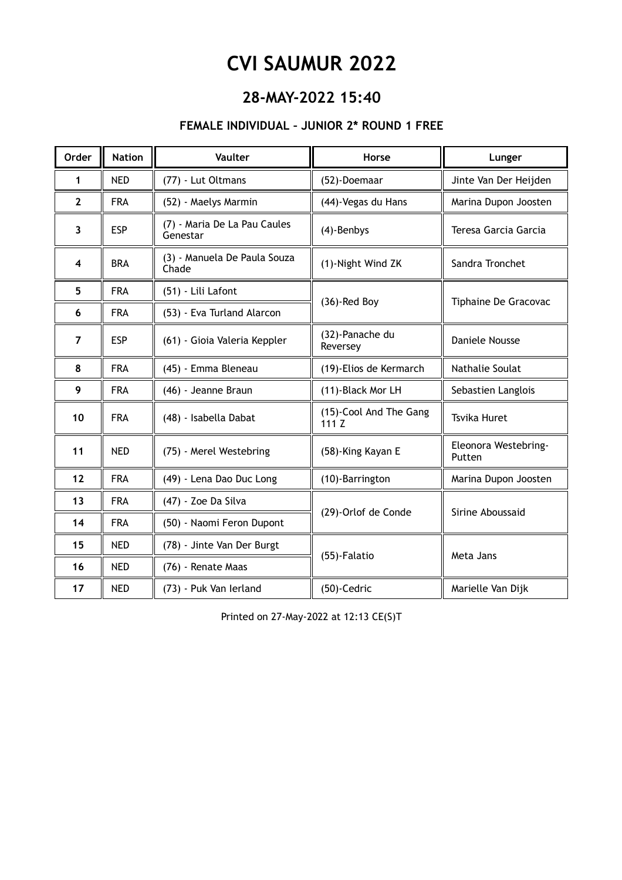### **28-MAY-2022 15:40**

#### **FEMALE INDIVIDUAL – JUNIOR 2\* ROUND 1 FREE**

| <b>Order</b>   | <b>Nation</b> | Vaulter                                  | Horse                           | Lunger                         |
|----------------|---------------|------------------------------------------|---------------------------------|--------------------------------|
| 1              | <b>NED</b>    | (77) - Lut Oltmans                       | (52)-Doemaar                    | Jinte Van Der Heijden          |
| $\mathbf{2}$   | <b>FRA</b>    | (52) - Maelys Marmin                     | (44)-Vegas du Hans              | Marina Dupon Joosten           |
| 3              | <b>ESP</b>    | (7) - Maria De La Pau Caules<br>Genestar | (4)-Benbys                      | Teresa Garcia Garcia           |
| 4              | <b>BRA</b>    | (3) - Manuela De Paula Souza<br>Chade    | (1)-Night Wind ZK               | Sandra Tronchet                |
| 5              | <b>FRA</b>    | (51) - Lili Lafont                       | $(36)$ -Red Boy                 | Tiphaine De Gracovac           |
| 6              | <b>FRA</b>    | (53) - Eva Turland Alarcon               |                                 |                                |
| $\overline{7}$ | <b>ESP</b>    | (61) - Gioia Valeria Keppler             | (32)-Panache du<br>Reversey     | <b>Daniele Nousse</b>          |
| 8              | <b>FRA</b>    | (45) - Emma Bleneau                      | (19)-Elios de Kermarch          | Nathalie Soulat                |
| 9              | <b>FRA</b>    | (46) - Jeanne Braun                      | (11)-Black Mor LH               | Sebastien Langlois             |
| 10             | <b>FRA</b>    | (48) - Isabella Dabat                    | (15)-Cool And The Gang<br>111 Z | <b>Tsvika Huret</b>            |
| 11             | <b>NED</b>    | (75) - Merel Westebring                  | (58)-King Kayan E               | Eleonora Westebring-<br>Putten |
| 12             | <b>FRA</b>    | (49) - Lena Dao Duc Long                 | (10)-Barrington                 | Marina Dupon Joosten           |
| 13             | <b>FRA</b>    | (47) - Zoe Da Silva                      | (29)-Orlof de Conde             | Sirine Aboussaid               |
| 14             | <b>FRA</b>    | (50) - Naomi Feron Dupont                |                                 |                                |
| 15             | <b>NED</b>    | (78) - Jinte Van Der Burgt               |                                 | Meta Jans                      |
| 16             | <b>NED</b>    | (76) - Renate Maas                       | (55)-Falatio                    |                                |
| 17             | <b>NED</b>    | (73) - Puk Van Ierland                   | (50)-Cedric                     | Marielle Van Dijk              |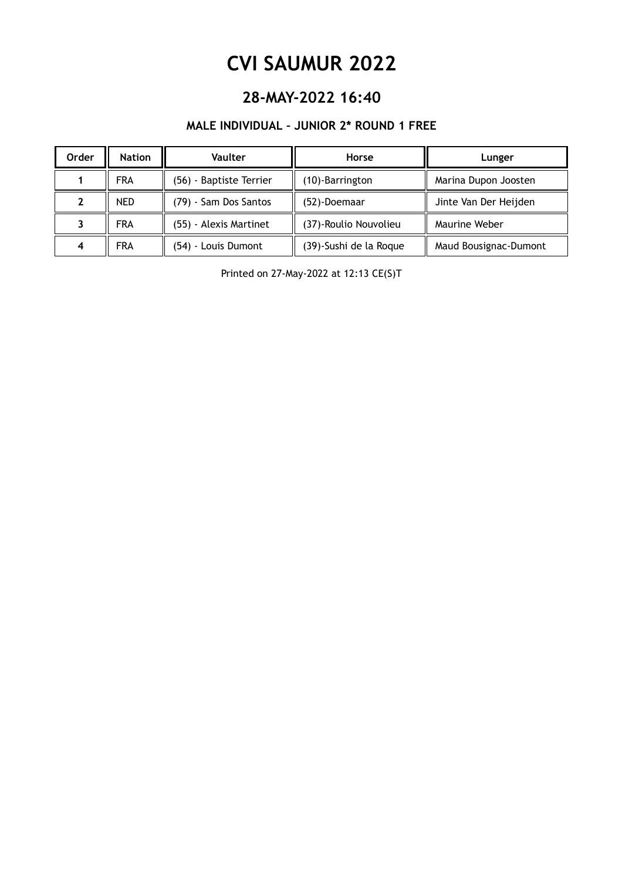### **28-MAY-2022 16:40**

#### **MALE INDIVIDUAL – JUNIOR 2\* ROUND 1 FREE**

| Order | <b>Nation</b> | <b>Vaulter</b>          | Horse                  | Lunger                |
|-------|---------------|-------------------------|------------------------|-----------------------|
|       | <b>FRA</b>    | (56) - Baptiste Terrier | (10)-Barrington        | Marina Dupon Joosten  |
|       | <b>NED</b>    | (79) - Sam Dos Santos   | (52)-Doemaar           | Jinte Van Der Heijden |
|       | <b>FRA</b>    | (55) - Alexis Martinet  | (37)-Roulio Nouvolieu  | Maurine Weber         |
| 4     | <b>FRA</b>    | (54) - Louis Dumont     | (39)-Sushi de la Roque | Maud Bousignac-Dumont |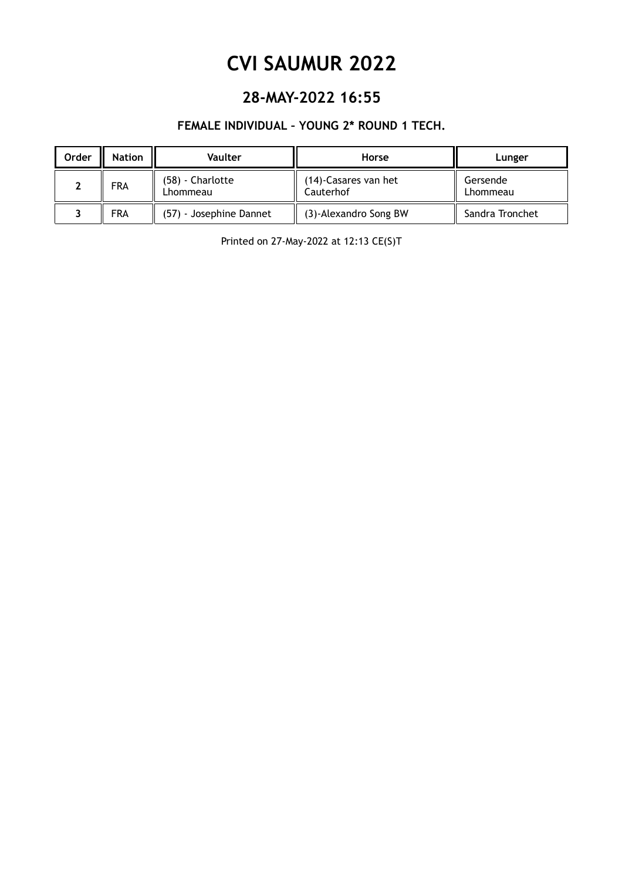### **28-MAY-2022 16:55**

#### **FEMALE INDIVIDUAL – YOUNG 2\* ROUND 1 TECH.**

| Order | <b>Nation</b> | Vaulter                      | Horse                             | Lunger               |
|-------|---------------|------------------------------|-----------------------------------|----------------------|
|       | FRA           | (58) - Charlotte<br>Lhommeau | (14)-Casares van het<br>Cauterhof | Gersende<br>Lhommeau |
|       | <b>FRA</b>    | (57) - Josephine Dannet      | (3)-Alexandro Song BW             | Sandra Tronchet      |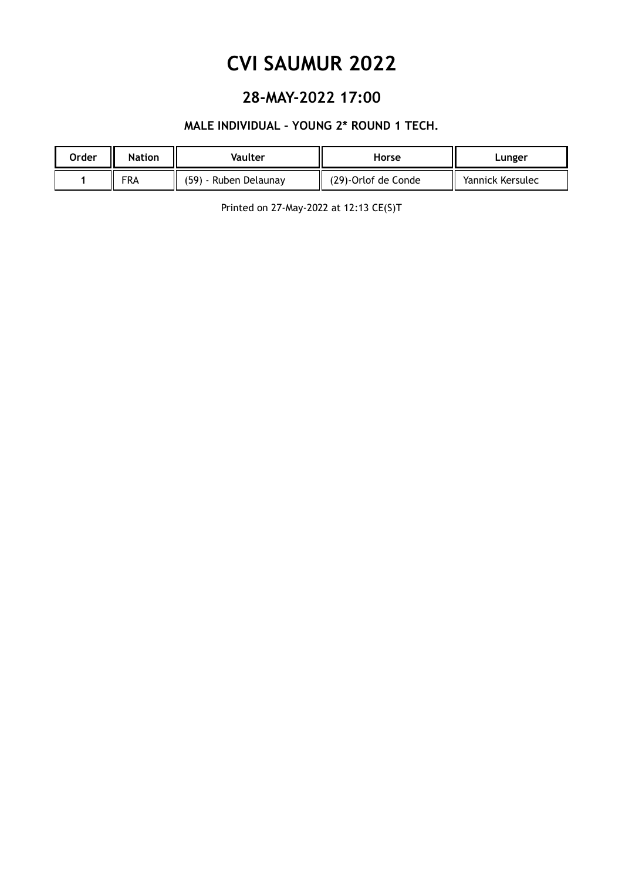### **28-MAY-2022 17:00**

#### **MALE INDIVIDUAL – YOUNG 2\* ROUND 1 TECH.**

| Order | <b>Nation</b> | Vaulter               | Horse               | Lunger           |
|-------|---------------|-----------------------|---------------------|------------------|
|       | <b>FRA</b>    | (59) - Ruben Delaunay | (29)-Orlof de Conde | Yannick Kersulec |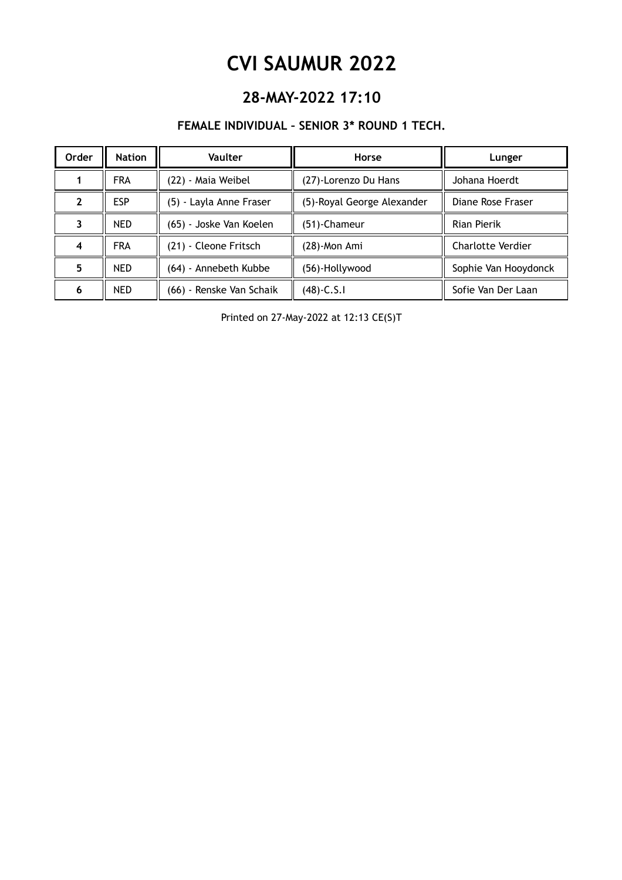### **28-MAY-2022 17:10**

#### **FEMALE INDIVIDUAL – SENIOR 3\* ROUND 1 TECH.**

| Order | <b>Nation</b> | Vaulter                  | Horse                      | Lunger                   |
|-------|---------------|--------------------------|----------------------------|--------------------------|
|       | <b>FRA</b>    | (22) - Maia Weibel       | (27)-Lorenzo Du Hans       | Johana Hoerdt            |
| 7     | <b>ESP</b>    | (5) - Layla Anne Fraser  | (5)-Royal George Alexander | Diane Rose Fraser        |
|       | <b>NED</b>    | (65) - Joske Van Koelen  | (51)-Chameur               | Rian Pierik              |
| 4     | <b>FRA</b>    | (21) - Cleone Fritsch    | $(28)$ -Mon Ami            | <b>Charlotte Verdier</b> |
| 5     | <b>NED</b>    | (64) - Annebeth Kubbe    | (56)-Hollywood             | Sophie Van Hooydonck     |
| 6     | <b>NED</b>    | (66) - Renske Van Schaik | (48)-C.S.I                 | Sofie Van Der Laan       |